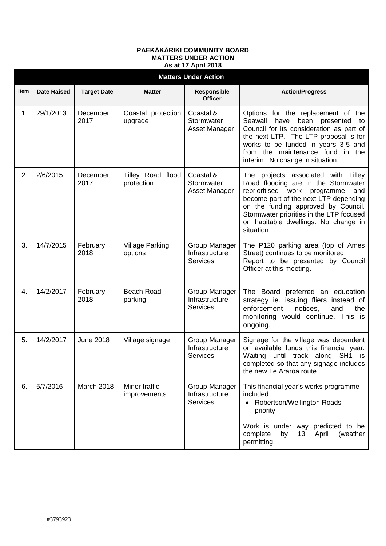## **PAEKĀKĀRIKI COMMUNITY BOARD MATTERS UNDER ACTION As at 17 April 2018**

| <b>Matters Under Action</b> |                    |                    |                                   |                                                    |                                                                                                                                                                                                                                                                                                           |  |  |  |
|-----------------------------|--------------------|--------------------|-----------------------------------|----------------------------------------------------|-----------------------------------------------------------------------------------------------------------------------------------------------------------------------------------------------------------------------------------------------------------------------------------------------------------|--|--|--|
| Item                        | <b>Date Raised</b> | <b>Target Date</b> | <b>Matter</b>                     | Responsible<br><b>Officer</b>                      | <b>Action/Progress</b>                                                                                                                                                                                                                                                                                    |  |  |  |
| 1.                          | 29/1/2013          | December<br>2017   | Coastal protection<br>upgrade     | Coastal &<br>Stormwater<br>Asset Manager           | Options for the replacement of the<br>Seawall<br>have<br>been presented<br>to<br>Council for its consideration as part of<br>the next LTP. The LTP proposal is for<br>works to be funded in years 3-5 and<br>from the maintenance fund in the<br>interim. No change in situation.                         |  |  |  |
| 2.                          | 2/6/2015           | December<br>2017   | Tilley Road flood<br>protection   | Coastal &<br>Stormwater<br>Asset Manager           | The projects associated with Tilley<br>Road flooding are in the Stormwater<br>reprioritised<br>work<br>programme<br>and<br>become part of the next LTP depending<br>on the funding approved by Council.<br>Stormwater priorities in the LTP focused<br>on habitable dwellings. No change in<br>situation. |  |  |  |
| 3.                          | 14/7/2015          | February<br>2018   | <b>Village Parking</b><br>options | Group Manager<br>Infrastructure<br><b>Services</b> | The P120 parking area (top of Ames<br>Street) continues to be monitored.<br>Report to be presented by Council<br>Officer at this meeting.                                                                                                                                                                 |  |  |  |
| 4.                          | 14/2/2017          | February<br>2018   | <b>Beach Road</b><br>parking      | Group Manager<br>Infrastructure<br><b>Services</b> | The Board preferred an education<br>strategy ie. issuing fliers instead of<br>enforcement<br>the<br>notices,<br>and<br>monitoring would continue. This is<br>ongoing.                                                                                                                                     |  |  |  |
| 5.                          | 14/2/2017          | <b>June 2018</b>   | Village signage                   | Group Manager<br>Infrastructure<br><b>Services</b> | Signage for the village was dependent<br>on available funds this financial year.<br>Waiting<br>until track along<br>SH <sub>1</sub><br>is<br>completed so that any signage includes<br>the new Te Araroa route.                                                                                           |  |  |  |
| 6.                          | 5/7/2016           | March 2018         | Minor traffic<br>improvements     | Group Manager<br>Infrastructure<br><b>Services</b> | This financial year's works programme<br>included:<br>Robertson/Wellington Roads -<br>priority<br>Work is under way predicted to be<br>complete<br>by<br>13 <sup>°</sup><br>April<br>(weather<br>permitting.                                                                                              |  |  |  |